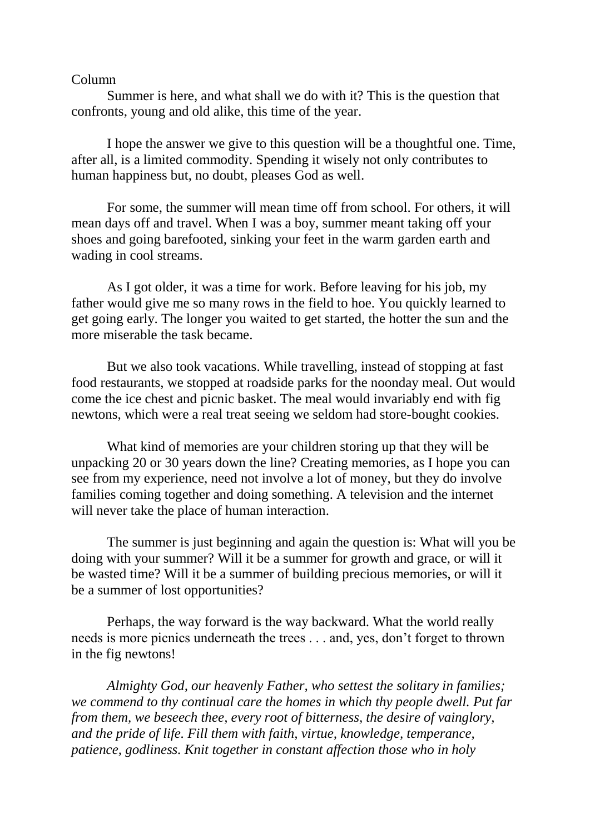## Column

Summer is here, and what shall we do with it? This is the question that confronts, young and old alike, this time of the year.

I hope the answer we give to this question will be a thoughtful one. Time, after all, is a limited commodity. Spending it wisely not only contributes to human happiness but, no doubt, pleases God as well.

For some, the summer will mean time off from school. For others, it will mean days off and travel. When I was a boy, summer meant taking off your shoes and going barefooted, sinking your feet in the warm garden earth and wading in cool streams.

As I got older, it was a time for work. Before leaving for his job, my father would give me so many rows in the field to hoe. You quickly learned to get going early. The longer you waited to get started, the hotter the sun and the more miserable the task became.

But we also took vacations. While travelling, instead of stopping at fast food restaurants, we stopped at roadside parks for the noonday meal. Out would come the ice chest and picnic basket. The meal would invariably end with fig newtons, which were a real treat seeing we seldom had store-bought cookies.

What kind of memories are your children storing up that they will be unpacking 20 or 30 years down the line? Creating memories, as I hope you can see from my experience, need not involve a lot of money, but they do involve families coming together and doing something. A television and the internet will never take the place of human interaction.

The summer is just beginning and again the question is: What will you be doing with your summer? Will it be a summer for growth and grace, or will it be wasted time? Will it be a summer of building precious memories, or will it be a summer of lost opportunities?

Perhaps, the way forward is the way backward. What the world really needs is more picnics underneath the trees . . . and, yes, don't forget to thrown in the fig newtons!

*Almighty God, our heavenly Father, who settest the solitary in families; we commend to thy continual care the homes in which thy people dwell. Put far from them, we beseech thee, every root of bitterness, the desire of vainglory, and the pride of life. Fill them with faith, virtue, knowledge, temperance, patience, godliness. Knit together in constant affection those who in holy*